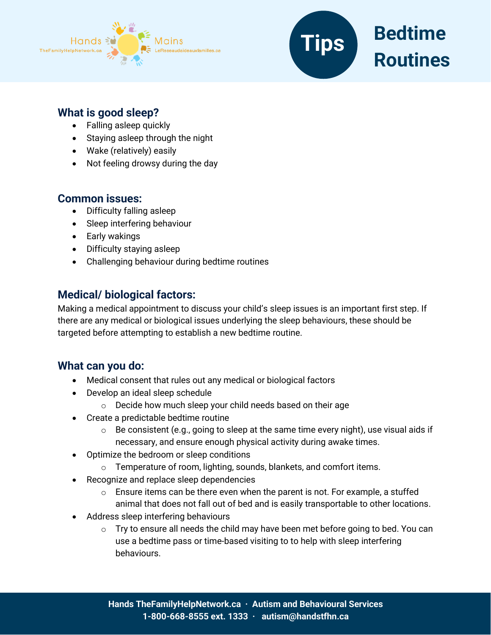



## **What is good sleep?**

- Falling asleep quickly
- Staying asleep through the night
- Wake (relatively) easily
- Not feeling drowsy during the day

### **Common issues:**

- Difficulty falling asleep
- Sleep interfering behaviour
- Early wakings
- Difficulty staying asleep
- Challenging behaviour during bedtime routines

# **Medical/ biological factors:**

Making a medical appointment to discuss your child's sleep issues is an important first step. If there are any medical or biological issues underlying the sleep behaviours, these should be targeted before attempting to establish a new bedtime routine.

## **What can you do:**

- Medical consent that rules out any medical or biological factors
- Develop an ideal sleep schedule
	- o Decide how much sleep your child needs based on their age
- Create a predictable bedtime routine
	- $\circ$  Be consistent (e.g., going to sleep at the same time every night), use visual aids if necessary, and ensure enough physical activity during awake times.
- Optimize the bedroom or sleep conditions
	- $\circ$  Temperature of room, lighting, sounds, blankets, and comfort items.
- Recognize and replace sleep dependencies
	- $\circ$  Ensure items can be there even when the parent is not. For example, a stuffed animal that does not fall out of bed and is easily transportable to other locations.
- Address sleep interfering behaviours
	- $\circ$  Try to ensure all needs the child may have been met before going to bed. You can use a bedtime pass or time-based visiting to to help with sleep interfering behaviours.